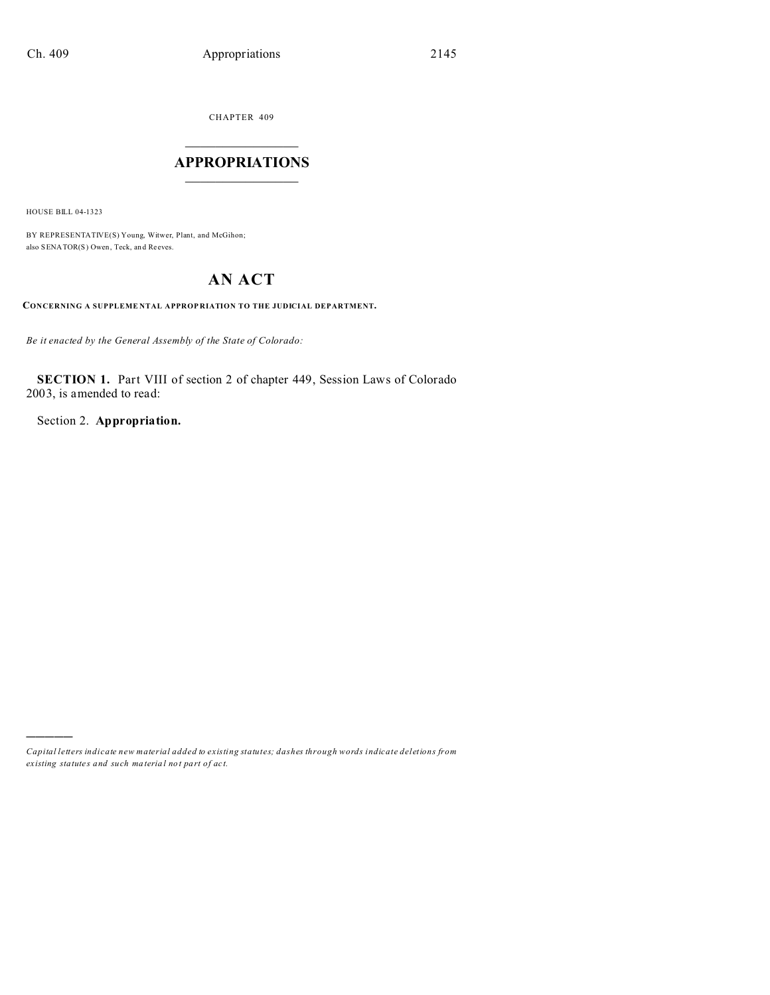CHAPTER 409  $\overline{\phantom{a}}$  , where  $\overline{\phantom{a}}$ 

# **APPROPRIATIONS**  $\_$   $\_$   $\_$   $\_$   $\_$   $\_$   $\_$   $\_$

HOUSE BILL 04-1323

)))))

BY REPRESENTATIVE(S) Young, Witwer, Plant, and McGihon; also SENATOR(S) Owen, Teck, an d Reeves.

# **AN ACT**

**CONCERNING A SUPPLEME NTAL APPROP RIATION TO THE JUDICIAL DEPARTMENT.**

*Be it enacted by the General Assembly of the State of Colorado:*

**SECTION 1.** Part VIII of section 2 of chapter 449, Session Laws of Colorado 2003, is amended to read:

Section 2. **Appropriation.**

*Capital letters indicate new material added to existing statutes; dashes through words indicate deletions from ex isting statute s and such ma teria l no t pa rt of ac t.*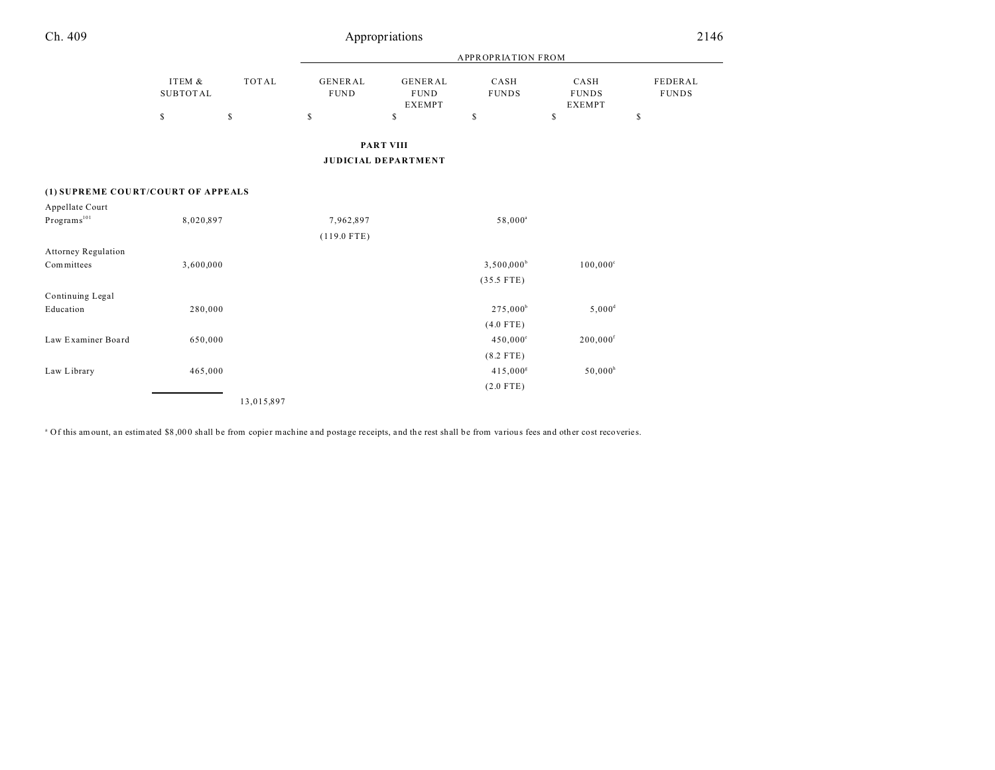| Ch. 409 |                    |       |                        | Appropriations                                 |                           |                                       | 2146                    |  |
|---------|--------------------|-------|------------------------|------------------------------------------------|---------------------------|---------------------------------------|-------------------------|--|
|         |                    |       |                        |                                                | <b>APPROPRIATION FROM</b> |                                       |                         |  |
|         | ITEM &<br>SUBTOTAL | TOTAL | GENERAL<br><b>FUND</b> | GENERAL<br><b>FUND</b><br><b>EXEMPT</b>        | CASH<br><b>FUNDS</b>      | CASH<br><b>FUNDS</b><br><b>EXEMPT</b> | FEDERAL<br><b>FUNDS</b> |  |
|         | S                  | s     | S                      | \$                                             | \$                        | \$                                    | \$                      |  |
|         |                    |       |                        | <b>PART VIII</b><br><b>JUDICIAL DEPARTMENT</b> |                           |                                       |                         |  |

### **(1) SUPREME COU RT/COURT OF APPEALS**

| Appellate Court            |            |               |                      |                        |
|----------------------------|------------|---------------|----------------------|------------------------|
| Programs <sup>101</sup>    | 8,020,897  | 7,962,897     | 58,000 <sup>a</sup>  |                        |
|                            |            | $(119.0$ FTE) |                      |                        |
| <b>Attorney Regulation</b> |            |               |                      |                        |
| Committees                 | 3,600,000  |               | $3,500,000^b$        | $100,000^{\circ}$      |
|                            |            |               | $(35.5$ FTE)         |                        |
| Continuing Legal           |            |               |                      |                        |
| Education                  | 280,000    |               | 275,000 <sup>b</sup> | $5,000^d$              |
|                            |            |               | $(4.0$ FTE)          |                        |
| Law Examiner Board         | 650,000    |               | $450,000^{\circ}$    | $200,000$ <sup>f</sup> |
|                            |            |               | $(8.2$ FTE)          |                        |
| Law Library                | 465,000    |               | 415,000 <sup>g</sup> | $50,000^h$             |
|                            |            |               | $(2.0$ FTE)          |                        |
|                            | 13,015,897 |               |                      |                        |

<sup>a</sup> Of this amount, an estimated \$8,000 shall be from copier machine and postage receipts, and the rest shall be from various fees and other cost recoveries.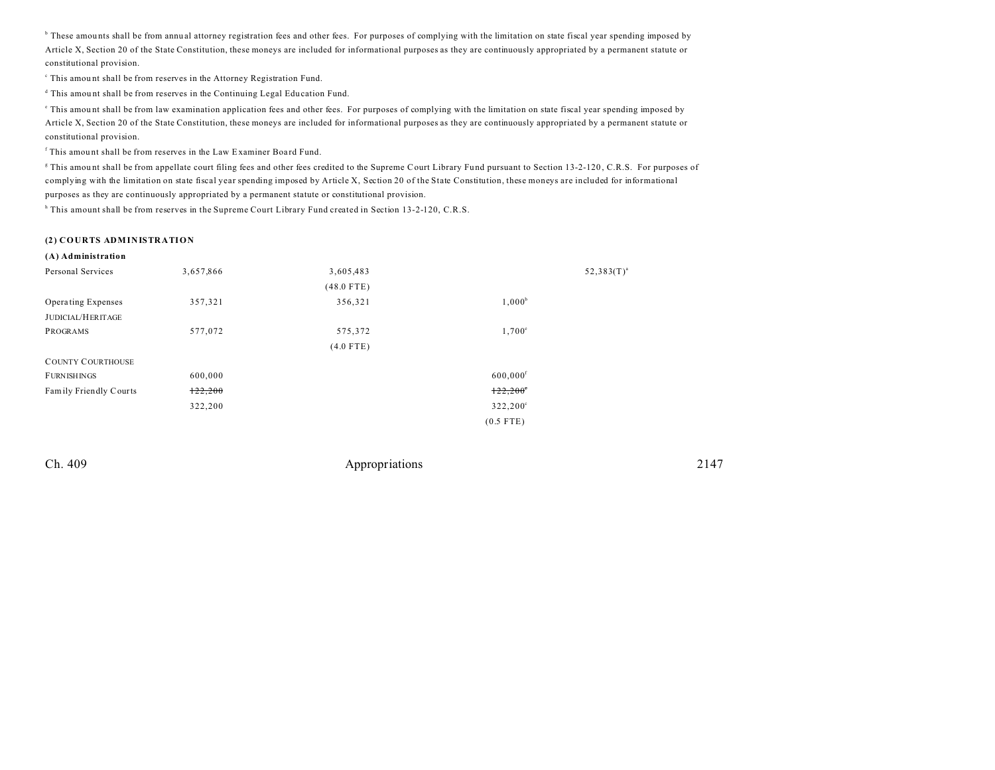<sup>b</sup> These amounts shall be from annual attorney registration fees and other fees. For purposes of complying with the limitation on state fiscal year spending imposed by Article X, Section 20 of the State Constitution, these moneys are included for informational purposes as they are continuously appropriated by a permanent statute or constitutional provision.

<sup>c</sup> This amount shall be from reserves in the Attorney Registration Fund.

d This amou nt shall be from reserves in the Continuing Legal Edu cation Fund.

This amount shall be from law examination application fees and other fees. For purposes of complying with the limitation on state fiscal year spending imposed by Article X, Section 20 of the State Constitution, these moneys are included for informational purposes as they are continuously appropriated by a permanent statute or constitutional provision.

<sup>f</sup> This amount shall be from reserves in the Law Examiner Board Fund.

This amount shall be from appellate court filing fees and other fees credited to the Supreme Court Library Fund pursuant to Section 13-2-120, C.R.S. For purposes of complying with the limitation on state fiscal year spending imposed by Article X, Section 20 of the State Constitution, these moneys are included for informational purposes as they are continuously appropriated by a permanent statute or constitutional provision.

h This amount shall be from reserves in the Supreme Court Library Fund created in Section 13-2-120, C.R.S.

#### **(2) COURTS ADMINISTRATION**

| (A) Administration       |           |              |                        |                 |
|--------------------------|-----------|--------------|------------------------|-----------------|
| Personal Services        | 3,657,866 | 3,605,483    |                        | $52,383(T)^{a}$ |
|                          |           | $(48.0$ FTE) |                        |                 |
| Operating Expenses       | 357,321   | 356,321      | $1,000^b$              |                 |
| <b>JUDICIAL/HERITAGE</b> |           |              |                        |                 |
| PROGRAMS                 | 577,072   | 575,372      | $1,700^{\circ}$        |                 |
|                          |           | $(4.0$ FTE)  |                        |                 |
| <b>COUNTY COURTHOUSE</b> |           |              |                        |                 |
| <b>FURNISHINGS</b>       | 600,000   |              | $600,000$ <sup>f</sup> |                 |
| Family Friendly Courts   | 122,200   |              | $122,200^{\circ}$      |                 |
|                          | 322,200   |              | 322,200°               |                 |
|                          |           |              | $(0.5$ FTE)            |                 |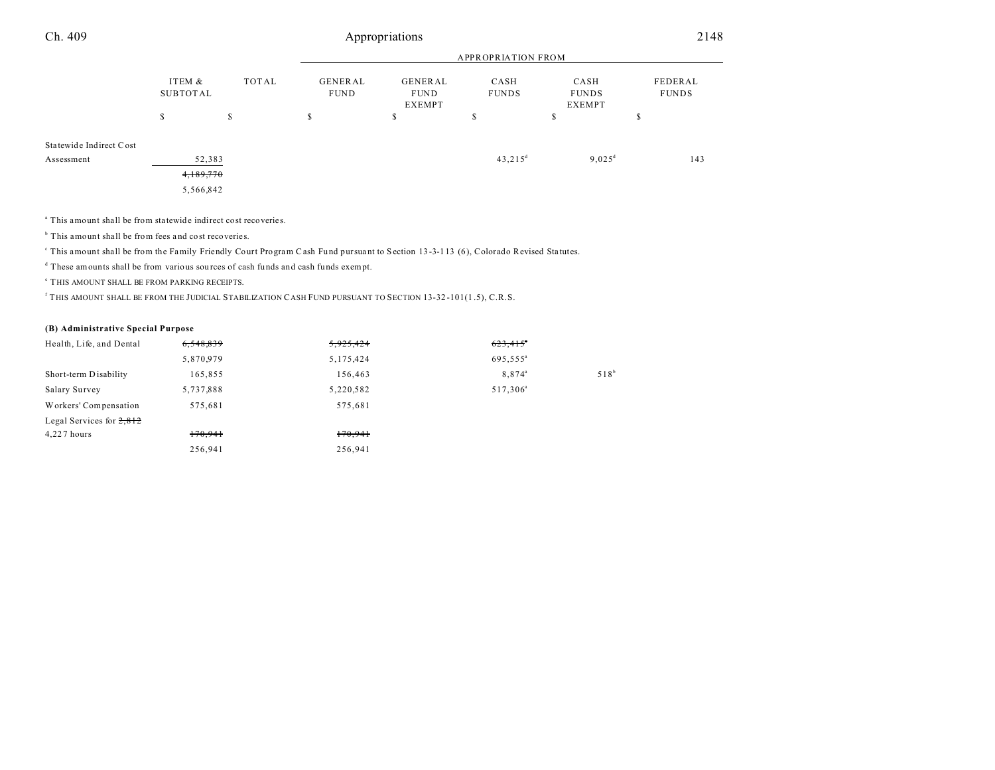| Ch. 409 | Appropriations | 2148<br>______ |
|---------|----------------|----------------|
|         |                |                |

|                         |                             |   | <b>APPROPRIATION FROM</b>                                  |   |                      |                                |                         |
|-------------------------|-----------------------------|---|------------------------------------------------------------|---|----------------------|--------------------------------|-------------------------|
|                         | ITEM &<br>TOTAL<br>SUBTOTAL |   | GENERAL<br>GENERAL<br><b>FUND</b><br><b>FUND</b><br>EXEMPT |   | CASH<br><b>FUNDS</b> | CASH<br><b>FUNDS</b><br>EXEMPT | FEDERAL<br><b>FUNDS</b> |
|                         | \$                          | S | S                                                          | S | ch<br>D.             | \$                             | D                       |
| Statewide Indirect Cost |                             |   |                                                            |   |                      |                                |                         |
| Assessment              | 52,383                      |   |                                                            |   | $43,215^{\rm d}$     | $9,025^{\rm d}$                | 143                     |
|                         | 4,189,770                   |   |                                                            |   |                      |                                |                         |
|                         | 5,566,842                   |   |                                                            |   |                      |                                |                         |

a This amount shall be from sta tewide indirect cost recoveries.

<sup>b</sup> This amount shall be from fees and cost recoveries.

This amount shall be from the Family Friendly Court Program Cash Fund pursuant to Section 13-3-113 (6), Colorado Revised Statutes.

<sup>d</sup> These amounts shall be from various sources of cash funds and cash funds exempt.

e THIS AMOUNT SHALL BE FROM PARKING RECEIPTS.

f THIS AMOUNT SHALL BE FROM THE JUDICIAL STABILIZATION CASH FUND PURSUANT TO SECTION 13-32 -101(1 .5), C.R.S.

## **(B) Administrative Special Purpose**

| Health, Life, and Dental   | 6,548,839 | 5,925,424 | 623,415              |         |
|----------------------------|-----------|-----------|----------------------|---------|
|                            | 5,870,979 | 5,175,424 | 695,555 <sup>a</sup> |         |
| Short-term Disability      | 165,855   | 156,463   | 8,874 <sup>a</sup>   | $518^b$ |
| Salary Survey              | 5,737,888 | 5,220,582 | 517,306 <sup>a</sup> |         |
| Workers' Compensation      | 575,681   | 575,681   |                      |         |
| Legal Services for $2,812$ |           |           |                      |         |
| $4,227$ hours              | 170,941   | 170,941   |                      |         |
|                            | 256,941   | 256,941   |                      |         |
|                            |           |           |                      |         |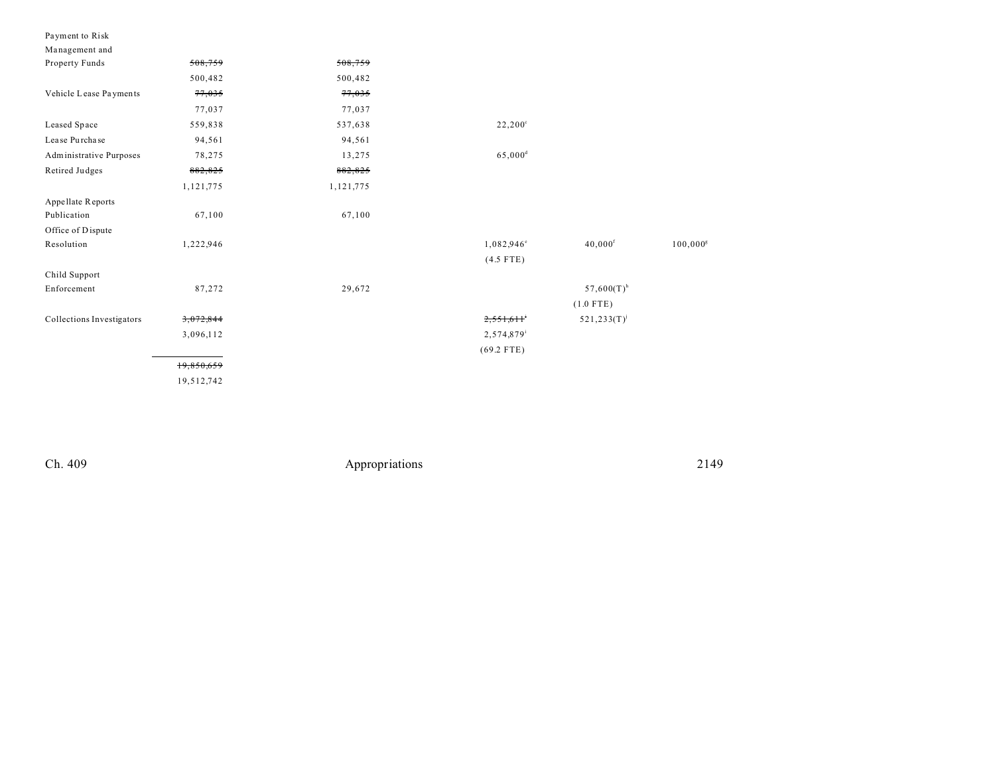| Payment to Risk |  |
|-----------------|--|
| Management and  |  |

| $\ldots$ $\ldots$         |            |           |                       |                          |                   |
|---------------------------|------------|-----------|-----------------------|--------------------------|-------------------|
| Property Funds            | 508,759    | 508,759   |                       |                          |                   |
|                           | 500,482    | 500,482   |                       |                          |                   |
| Vehicle Lease Payments    | 77,035     | 77,035    |                       |                          |                   |
|                           | 77,037     | 77,037    |                       |                          |                   |
| Leased Space              | 559,838    | 537,638   | $22,200^{\circ}$      |                          |                   |
| Lease Purchase            | 94,561     | 94,561    |                       |                          |                   |
| Administrative Purposes   | 78,275     | 13,275    | $65,000$ <sup>d</sup> |                          |                   |
| Retired Judges            | 882,825    | 882,825   |                       |                          |                   |
|                           | 1,121,775  | 1,121,775 |                       |                          |                   |
| Appellate Reports         |            |           |                       |                          |                   |
| Publication               | 67,100     | 67,100    |                       |                          |                   |
| Office of Dispute         |            |           |                       |                          |                   |
| Resolution                | 1,222,946  |           | $1,082,946^{\circ}$   | $40,000$ <sup>f</sup>    | $100,000^{\rm g}$ |
|                           |            |           | $(4.5$ FTE)           |                          |                   |
| Child Support             |            |           |                       |                          |                   |
| Enforcement               | 87,272     | 29,672    |                       | $57,600(T)$ <sup>h</sup> |                   |
|                           |            |           |                       | $(1.0$ FTE)              |                   |
| Collections Investigators | 3,072,844  |           | 2,551,611             | $521, 233(T)^{j}$        |                   |
|                           | 3,096,112  |           | 2,574,879             |                          |                   |
|                           |            |           | $(69.2$ FTE)          |                          |                   |
|                           | 19,850,659 |           |                       |                          |                   |
|                           | 19,512,742 |           |                       |                          |                   |
|                           |            |           |                       |                          |                   |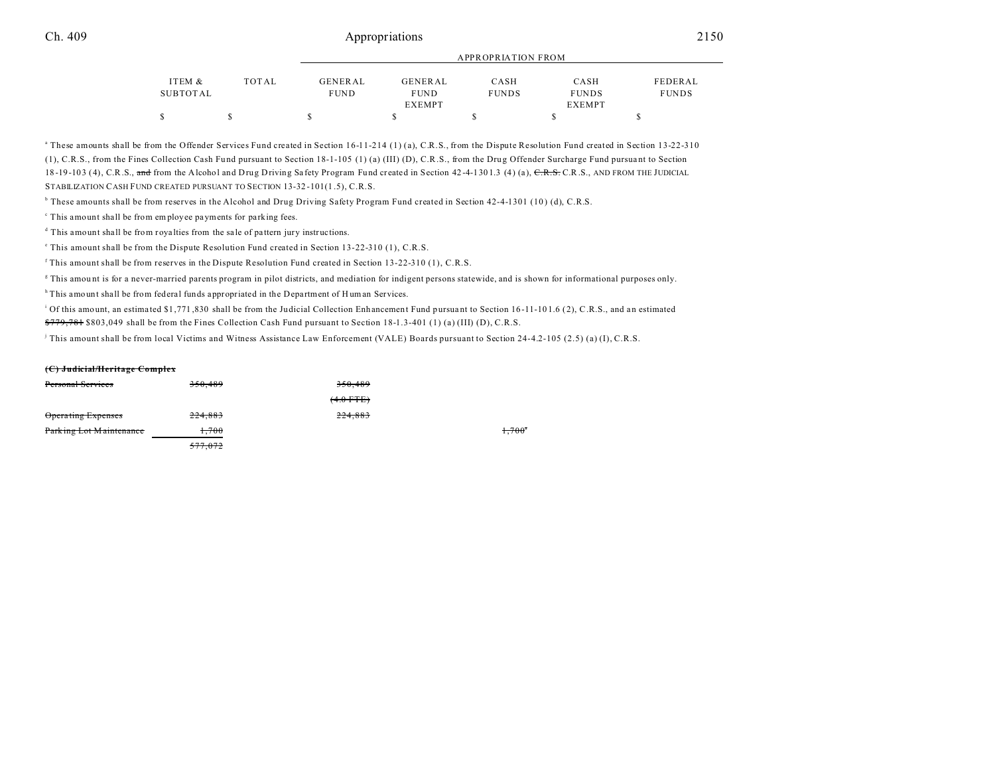|          |       |             |             | APPROPRIATION FROM |               |              |
|----------|-------|-------------|-------------|--------------------|---------------|--------------|
| ITEM &   | TOTAL | GENERAL     | GENERAL     | CASH               | CASH          | FEDERAL      |
| SUBTOTAL |       | <b>FUND</b> | <b>FUND</b> | <b>FUNDS</b>       | <b>FUNDS</b>  | <b>FUNDS</b> |
|          |       |             | EXEMPT      |                    | <b>EXEMPT</b> |              |
|          |       |             |             |                    |               |              |

a These amounts shall be from the Offender Services Fund created in Section 16-11-214 (1) (a), C.R.S., from the Dispute Resolution Fund created in Section 13-22-310 (1), C.R.S., from the Fines Collection Cash Fund pursuant to Section 18-1-105 (1) (a) (III) (D), C.R.S., from the Drug Offender Surcharge Fund pursuant to Section 18-19-103 (4), C.R.S., and from the Alcohol and Drug Driving Safety Program Fund created in Section 42-4-1301.3 (4) (a), C.R.S., AND FROM THE JUDICIAL STABILIZATION CASH FUND CREATED PURSUANT TO SECTION 13-32 -101(1 .5), C.R.S.

<sup>b</sup> These amounts shall be from reserves in the Alcohol and Drug Driving Safety Program Fund created in Section 42-4-1301 (10) (d), C.R.S.

<sup>c</sup> This amount shall be from employee payments for parking fees.

<sup>d</sup> This amount shall be from royalties from the sale of pattern jury instructions.

e This amount shall be from the Dispute Resolution Fund created in Section 13-22-310 (1), C.R.S.

f This amount shall be from reserves in the Dispute Resolution Fund created in Section 13-22-310 (1), C.R.S.

g This amou nt is for a never-married parents program in pilot districts, and mediation for indigent persons statewide, and is shown for informational purposes only.

h This amount shall be from federal funds appropriated in the Department of Human Services.

<sup>i</sup> Of this amount, an estimated \$1,771,830 shall be from the Judicial Collection Enhancement Fund pursuant to Section 16-11-101.6 (2), C.R.S., and an estimated \$779,781 \$803,049 shall be from the Fines Collection Cash Fund pursuant to Section 18-1.3-401 (1) (a) (III) (D), C.R.S.

j This amount shall be from local Victims and Witness Assistance Law Enforcement (VALE) Boards pursuant to Section 24-4.2-105 (2.5) (a) (I), C.R.S.

### **(C) Judicial/Heritage Complex**

| Personal Services       | 350.489 | 350.489     |                 |
|-------------------------|---------|-------------|-----------------|
|                         |         | $(4.0$ FTE) |                 |
| Operating Expenses      | 224,883 | 224,883     |                 |
| Parking Lot Maintenance | 1.700   |             | $1.700^{\circ}$ |
|                         | 577.072 |             |                 |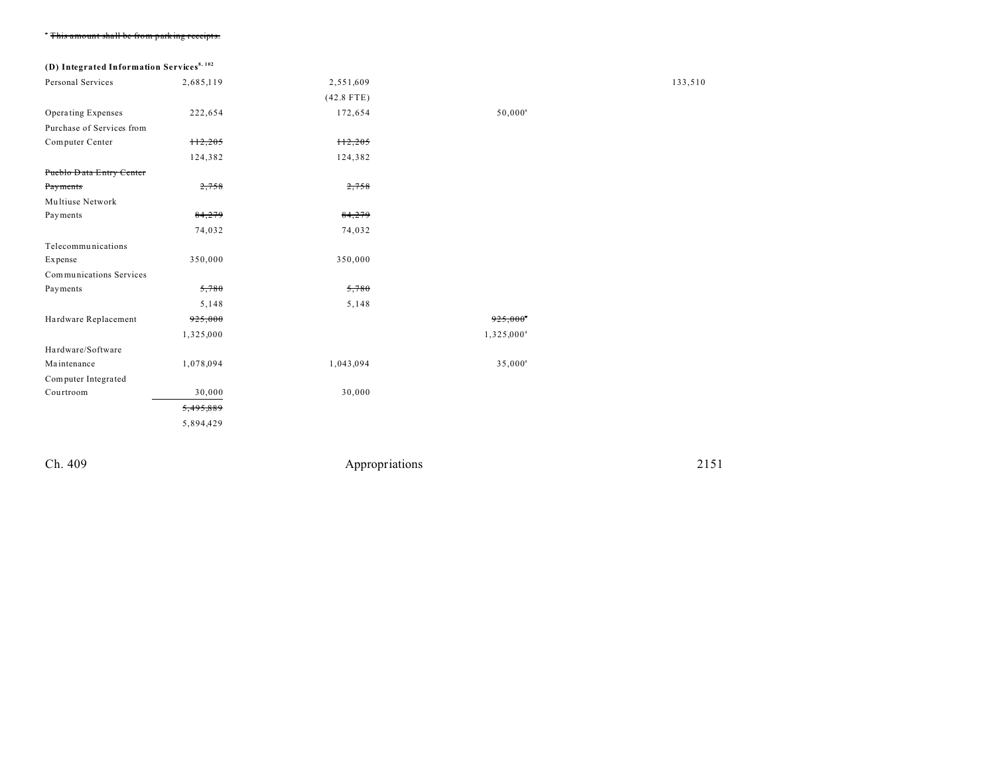| Portion of the company of the Hotel Company and the company of the company |  |  |
|----------------------------------------------------------------------------|--|--|
| This amount snan be from paixing receipts.                                 |  |  |

# **(D) Integrated Information Services8, 102**

| Personal Services         | 2,685,119 | 2,551,609    |                        | 133,510 |
|---------------------------|-----------|--------------|------------------------|---------|
|                           |           | $(42.8$ FTE) |                        |         |
| Operating Expenses        | 222,654   | 172,654      | $50,000^a$             |         |
| Purchase of Services from |           |              |                        |         |
| Computer Center           | H2,205    | H2,205       |                        |         |
|                           | 124,382   | 124,382      |                        |         |
| Pueblo Data Entry Center  |           |              |                        |         |
| Payments                  | 2,758     | 2,758        |                        |         |
| Multiuse Network          |           |              |                        |         |
| Payments                  | 84,279    | 84,279       |                        |         |
|                           | 74,032    | 74,032       |                        |         |
| Telecommunications        |           |              |                        |         |
| Expense                   | 350,000   | 350,000      |                        |         |
| Communications Services   |           |              |                        |         |
| Payments                  | 5,780     | 5,780        |                        |         |
|                           | 5,148     | 5,148        |                        |         |
| Hardware Replacement      | 925,000   |              | 925,000                |         |
|                           | 1,325,000 |              | 1,325,000 <sup>a</sup> |         |
| Hardware/Software         |           |              |                        |         |
| Maintenance               | 1,078,094 | 1,043,094    | $35,000^a$             |         |
| Computer Integrated       |           |              |                        |         |
| Courtroom                 | 30,000    | 30,000       |                        |         |
|                           | 5,495,889 |              |                        |         |
|                           | 5,894,429 |              |                        |         |
|                           |           |              |                        |         |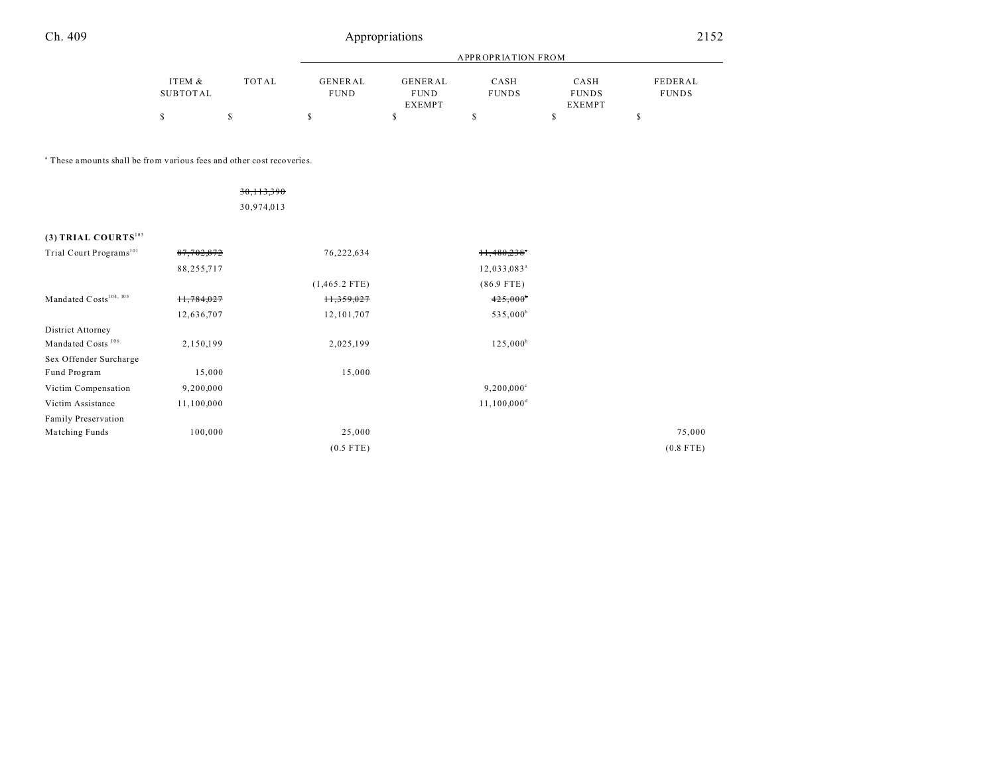Family Preservation

| Ch. 409                                                                          |                           |              | 2152                          |                                                |                           |                                       |                         |  |
|----------------------------------------------------------------------------------|---------------------------|--------------|-------------------------------|------------------------------------------------|---------------------------|---------------------------------------|-------------------------|--|
|                                                                                  |                           |              |                               | <b>APPROPRIATION FROM</b>                      |                           |                                       |                         |  |
|                                                                                  | ITEM &<br><b>SUBTOTAL</b> | <b>TOTAL</b> | <b>GENERAL</b><br><b>FUND</b> | <b>GENERAL</b><br><b>FUND</b><br><b>EXEMPT</b> | CASH<br><b>FUNDS</b>      | CASH<br><b>FUNDS</b><br><b>EXEMPT</b> | FEDERAL<br><b>FUNDS</b> |  |
|                                                                                  | \$                        | $\mathbb{S}$ | $\mathbb S$                   | $\mathbb{S}$                                   | $\mathbb{S}$              | \$                                    | \$                      |  |
| <sup>a</sup> These amounts shall be from various fees and other cost recoveries. |                           |              |                               |                                                |                           |                                       |                         |  |
|                                                                                  |                           | 30, 113, 390 |                               |                                                |                           |                                       |                         |  |
|                                                                                  |                           | 30,974,013   |                               |                                                |                           |                                       |                         |  |
| (3) TRIAL COURTS $^{103}$                                                        |                           |              |                               |                                                |                           |                                       |                         |  |
| Trial Court Programs <sup>101</sup>                                              | 87,702,872                |              | 76,222,634                    |                                                | 11,480,238°               |                                       |                         |  |
|                                                                                  | 88,255,717                |              |                               |                                                | 12,033,083 <sup>a</sup>   |                                       |                         |  |
|                                                                                  |                           |              | $(1,465.2$ FTE)               |                                                | $(86.9$ FTE)              |                                       |                         |  |
| Mandated $\mathbf C$ osts $^{104,~105}$                                          | 11,784,027                |              | 11,359,027                    |                                                | $425,000^{\circ}$         |                                       |                         |  |
|                                                                                  | 12,636,707                |              | 12, 101, 707                  |                                                | 535,000 <sup>b</sup>      |                                       |                         |  |
| District Attorney                                                                |                           |              |                               |                                                |                           |                                       |                         |  |
| Mandated Costs <sup>106</sup>                                                    | 2,150,199                 |              | 2,025,199                     |                                                | $125,000^b$               |                                       |                         |  |
| Sex Offender Surcharge                                                           |                           |              |                               |                                                |                           |                                       |                         |  |
| Fund Program                                                                     | 15,000                    |              | 15,000                        |                                                |                           |                                       |                         |  |
| Victim Compensation                                                              | 9,200,000                 |              |                               |                                                | $9,200,000$ <sup>c</sup>  |                                       |                         |  |
| Victim Assistance                                                                | 11,100,000                |              |                               |                                                | $11,100,000$ <sup>d</sup> |                                       |                         |  |

Ma tching Funds 100,000 100,000 25,000 25,000 25,000 25,000 25,000 25,000 25,000 25,000 25,000 25,000 25,000 25,000 25,000 25,000 25,000 25,000 25,000 25,000 25,000 25,000 25,000 25,000 25,000 25,000 25,000 25,000 25,000 2 (0.5 FTE) (0.8 FTE)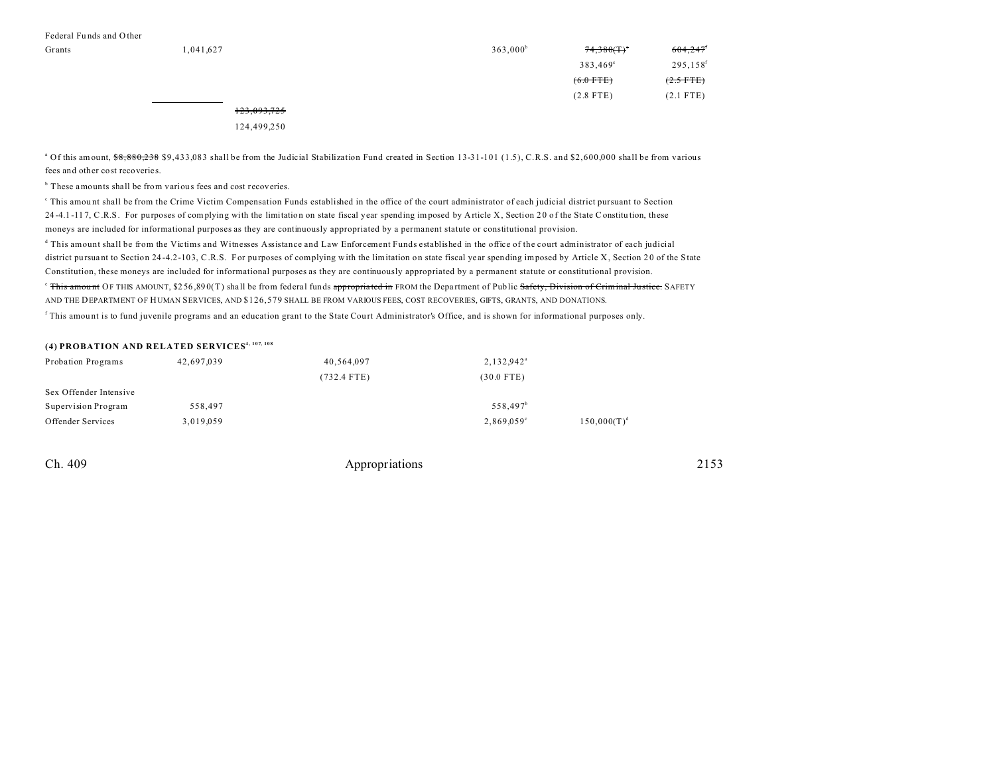| Grants | 1,041,627  | 363,000 <sup>b</sup> | 74,380(T)         | 604,247              |
|--------|------------|----------------------|-------------------|----------------------|
|        |            |                      | $383,469^{\circ}$ | 295,158 <sup>f</sup> |
|        |            |                      | $(6.0$ FTE)       | $(2.5$ FTE)          |
|        |            |                      | $(2.8$ FTE)       | $(2.1$ FTE)          |
|        | 122.002725 |                      |                   |                      |

## 123,093,725

124,499,250

<sup>a</sup> Of this amount,  $$8,880,238$  \$9,433,083 shall be from the Judicial Stabilization Fund created in Section 13-31-101 (1.5), C.R.S. and \$2,600,000 shall be from various fees and other cost recoveries.

<sup>b</sup> These amounts shall be from various fees and cost recoveries.

This amount shall be from the Crime Victim Compensation Funds established in the office of the court administrator of each judicial district pursuant to Section 24-4.1-117, C.R.S. For purposes of complying with the limitation on state fiscal year spending imposed by Article X, Section 20 of the State Constitution, these moneys are included for informational purposes as they are continuously appropriated by a permanent statute or constitutional provision.

d This amount shall be from the Victims and Witnesses Assistance and Law Enforcement Funds established in the office of the court administrator of each judicial district pursuant to Section 24-4.2-103, C.R.S. For purposes of complying with the limitation on state fiscal year spending imposed by Article X, Section 20 of the State Constitution, these moneys are included for informational purposes as they are continuously appropriated by a permanent statute or constitutional provision. <sup>e</sup> This amount OF THIS AMOUNT, \$256,890(T) shall be from federal funds appropriated in FROM the Department of Public Safety, Division of Criminal Justice, SAFETY

AND THE DEPARTMENT OF HUMAN SERVICES, AND \$126,579 SHALL BE FROM VARIOUS FEES, COST RECOVERIES, GIFTS, GRANTS, AND DONATIONS.

This amount is to fund juvenile programs and an education grant to the State Court Administrator's Office, and is shown for informational purposes only.

# **(4) PROBATION AND RELATED SERVICES4, 107, 108**

| Probation Programs     | 42,697,039 | 40,564,097    | 2,132,942 <sup>a</sup> |                |
|------------------------|------------|---------------|------------------------|----------------|
|                        |            | $(732.4$ FTE) | $(30.0$ FTE)           |                |
| Sex Offender Intensive |            |               |                        |                |
| Supervision Program    | 558.497    |               | 558.497 <sup>b</sup>   |                |
| Offender Services      | 3,019,059  |               | 2,869,059°             | $150,000(T)^d$ |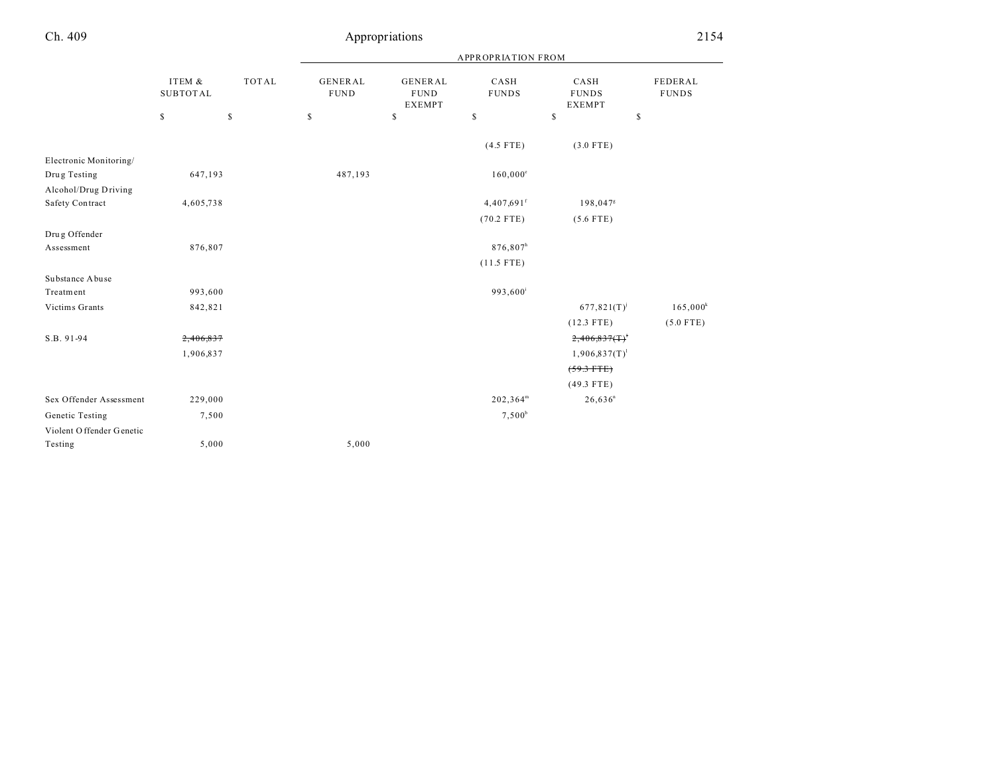|                           |                           |              | <b>APPROPRIATION FROM</b>     |                                                |                          |                                       |                         |
|---------------------------|---------------------------|--------------|-------------------------------|------------------------------------------------|--------------------------|---------------------------------------|-------------------------|
|                           | ITEM &<br><b>SUBTOTAL</b> | <b>TOTAL</b> | <b>GENERAL</b><br><b>FUND</b> | <b>GENERAL</b><br><b>FUND</b><br><b>EXEMPT</b> | CASH<br><b>FUNDS</b>     | CASH<br><b>FUNDS</b><br><b>EXEMPT</b> | FEDERAL<br><b>FUNDS</b> |
|                           | \$                        | $\mathbb{S}$ | $\mathbb S$                   | $\mathbf S$                                    | \$                       | \$                                    | \$                      |
|                           |                           |              |                               |                                                | $(4.5$ FTE)              | $(3.0$ FTE)                           |                         |
| Electronic Monitoring/    |                           |              |                               |                                                |                          |                                       |                         |
| Drug Testing              | 647,193                   |              | 487,193                       |                                                | $160,000^{\circ}$        |                                       |                         |
| Alcohol/Drug Driving      |                           |              |                               |                                                |                          |                                       |                         |
| Safety Contract           | 4,605,738                 |              |                               |                                                | $4,407,691$ <sup>f</sup> | 198,047 <sup>8</sup>                  |                         |
|                           |                           |              |                               |                                                | $(70.2$ FTE)             | $(5.6$ FTE)                           |                         |
| Drug Offender             |                           |              |                               |                                                |                          |                                       |                         |
| Assessment                | 876,807                   |              |                               |                                                | 876,807h                 |                                       |                         |
|                           |                           |              |                               |                                                | $(11.5$ FTE)             |                                       |                         |
| Substance Abuse           |                           |              |                               |                                                |                          |                                       |                         |
| Treatment                 | 993,600                   |              |                               |                                                | 993,600 <sup>i</sup>     |                                       |                         |
| Victims Grants            | 842,821                   |              |                               |                                                |                          | $677,821(T)^{j}$                      | 165,000 <sup>k</sup>    |
|                           |                           |              |                               |                                                |                          | $(12.3$ FTE)                          | $(5.0$ FTE)             |
| S.B. 91-94                | 2,406,837                 |              |                               |                                                |                          | $2,406,837($ T) <sup>t</sup>          |                         |
|                           | 1,906,837                 |              |                               |                                                |                          | $1,906,837(T)^1$                      |                         |
|                           |                           |              |                               |                                                |                          | $(59.3 + TE)$                         |                         |
|                           |                           |              |                               |                                                |                          | $(49.3$ FTE)                          |                         |
| Sex Offender Assessment   | 229,000                   |              |                               |                                                | 202,364 <sup>m</sup>     | $26,636^n$                            |                         |
| Genetic Testing           | 7,500                     |              |                               |                                                | $7,500^b$                |                                       |                         |
| Violent O ffender Genetic |                           |              |                               |                                                |                          |                                       |                         |
| Testing                   | 5,000                     |              | 5,000                         |                                                |                          |                                       |                         |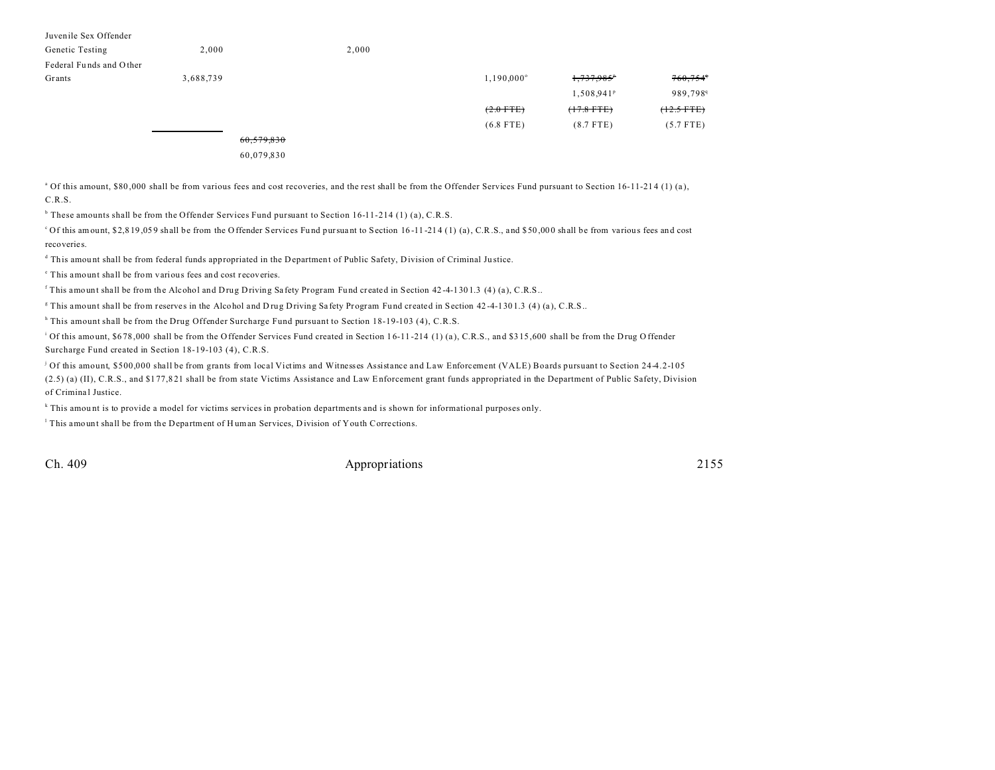| Juvenile Sex Offender   |           |            |       |                     |                          |                        |
|-------------------------|-----------|------------|-------|---------------------|--------------------------|------------------------|
| Genetic Testing         | 2,000     |            | 2,000 |                     |                          |                        |
| Federal Funds and Other |           |            |       |                     |                          |                        |
| Grants                  | 3,688,739 |            |       | $1,190,000^{\circ}$ | $1,737,985$ <sup>*</sup> | $760,754$ <sup>4</sup> |
|                         |           |            |       |                     | 1,508,941 <sup>P</sup>   | 989,798 <sup>q</sup>   |
|                         |           |            |       | $(2.0$ FTE)         | $(17.8$ FTE)             | $(12.5$ FTE)           |
|                         |           |            |       | $(6.8$ FTE)         | $(8.7$ FTE)              | $(5.7$ FTE)            |
|                         |           | 60,579,830 |       |                     |                          |                        |
|                         |           | 60.079.830 |       |                     |                          |                        |

<sup>a</sup> Of this amount, \$80,000 shall be from various fees and cost recoveries, and the rest shall be from the Offender Services Fund pursuant to Section 16-11-214 (1) (a), C.R.S.

<sup>b</sup> These amounts shall be from the Offender Services Fund pursuant to Section 16-11-214 (1) (a), C.R.S.

<sup>c</sup>Of this amount, \$2,819,059 shall be from the Offender Services Fund pursuant to Section 16-11-214 (1) (a), C.R.S., and \$50,000 shall be from various fees and cost recoveries.

d This amou nt shall be from federal funds appropriated in the Department of Public Safety, Division of Criminal Ju stice.

<sup>e</sup> This amount shall be from various fees and cost recoveries.

This amount shall be from the Alcohol and Drug Driving Safety Program Fund created in Section 42-4-1301.3 (4) (a), C.R.S..

This amount shall be from reserves in the Alcohol and Drug Driving Safety Program Fund created in Section 42-4-1301.3 (4) (a), C.R.S..

h This amount shall be from the Drug Offender Surcharge Fund pursuant to Section 18-19-103 (4), C.R.S.

<sup>i</sup> Of this amount, \$678,000 shall be from the Offender Services Fund created in Section 16-11-214 (1) (a), C.R.S., and \$315,600 shall be from the Drug Offender Surcharge Fund created in Section 18-19-103 (4), C.R.S.

j Of this amount, \$500,000 shall be from grants from local Victims and Witnesses Assistance and Law Enforcement (VALE) Boards pursuant to Section 24-4.2-105 (2.5) (a) (II), C.R.S., and \$1 77,8 21 shall be from state Victims Assistance and Law Enforcement grant funds appropriated in the Department of Public Safety, Division of Criminal Justice.

k This amou nt is to provide a model for victims services in probation departments and is shown for informational purposes only.

This amount shall be from the Department of Human Services, Division of Youth Corrections.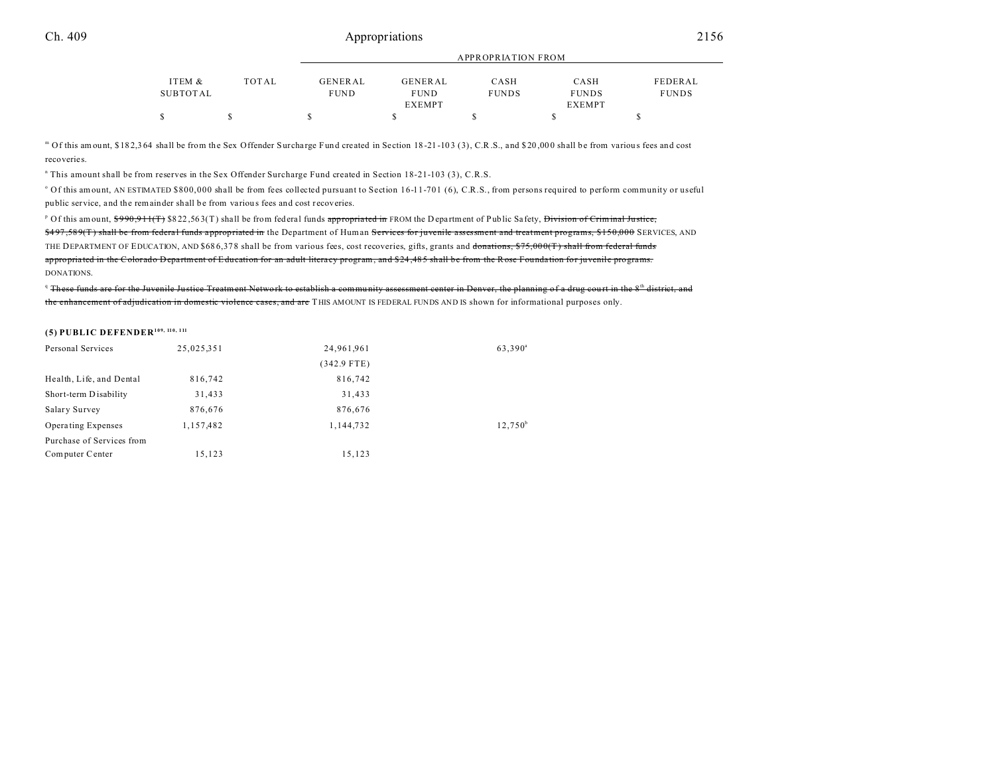| ITEM &   | TOTAL | GENERAL     | GENERAL       | CASH         | CASH          | FEDERAL      |
|----------|-------|-------------|---------------|--------------|---------------|--------------|
| SUBTOTAL |       | <b>FUND</b> | <b>FUND</b>   | <b>FUNDS</b> | <b>FUNDS</b>  | <b>FUNDS</b> |
|          |       |             | <b>EXEMPT</b> |              | <b>EXEMPT</b> |              |
|          |       |             |               |              |               |              |

APPROPRIATION FROM

m Of this amount, \$182,364 shall be from the Sex Offender Surcharge Fund created in Section 18-21-103 (3), C.R.S., and \$20,000 shall be from various fees and cost recoveries.

n This amount shall be from reserves in the Sex Offender Surcharge Fund created in Section 18-21-103 (3), C.R.S.

of this amount, AN ESTIMATED \$800,000 shall be from fees collected pursuant to Section 16-11-701 (6), C.R.S., from persons required to perform community or useful public service, and the remainder shall be from various fees and cost recoveries.

<sup>p</sup> Of this amount, <del>\$990,911(T)</del> \$822,563(T) shall be from federal funds <del>appropriated in</del> FROM the D epartment of Public Safety, <del>Division of Criminal Justice,</del> \$497,589(T) shall be from federal funds appropriated in the Department of Human Services for juvenile assessment and treatment programs, \$150,000 SERVICES, AND THE DEPARTMENT OF EDUCATION, AND \$686,378 shall be from various fees, cost recoveries, gifts, grants and donations, \$75,000(T) shall from federal funds appropriated in the Colorado Department of Education for an adult literacy program, and \$24,485 shall be from the Rose Foundation for iuvenile programs. DONATIONS.

 $\alpha$  These funds are for the Juvenile Justice Treatment Network to establish a community assessment center in Denver, the planning of a drug court in the  $8$ <sup>th</sup> district, and the enhancement of adjudication in domestic violence cases, and are THIS AMOUNT IS FEDERAL FUNDS AND IS shown for informational purposes only.

# **(5) PUBLIC DEFENDER109, 110, 111**

| Personal Services         | 25,025,351 | 24,961,961    | 63,390 <sup>a</sup> |
|---------------------------|------------|---------------|---------------------|
|                           |            | $(342.9$ FTE) |                     |
| Health, Life, and Dental  | 816,742    | 816,742       |                     |
| Short-term Disability     | 31,433     | 31,433        |                     |
| Salary Survey             | 876,676    | 876,676       |                     |
| <b>Operating Expenses</b> | 1,157,482  | 1.144.732     | $12.750^{\circ}$    |
| Purchase of Services from |            |               |                     |
| Computer Center           | 15,123     | 15,123        |                     |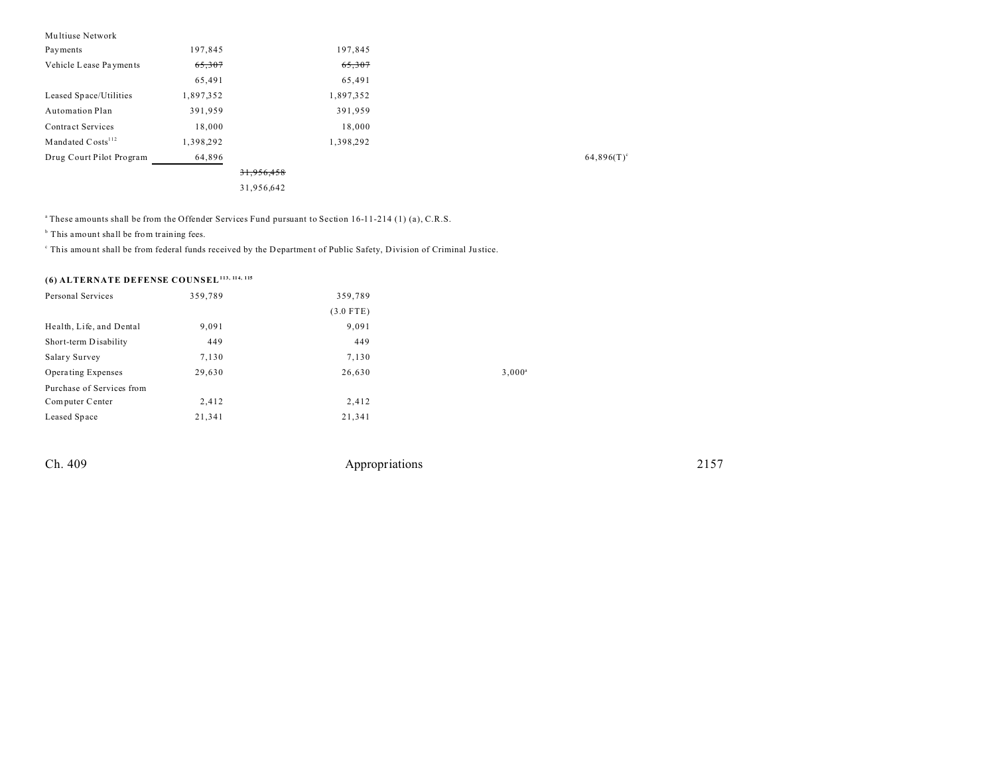| Multiuse Network              |           |            |           |  |               |
|-------------------------------|-----------|------------|-----------|--|---------------|
| Payments                      | 197,845   |            | 197,845   |  |               |
| Vehicle Lease Payments        | 65,307    |            | 65,307    |  |               |
|                               | 65,491    |            | 65,491    |  |               |
| Leased Space/Utilities        | 1,897,352 |            | 1,897,352 |  |               |
| Automation Plan               | 391,959   |            | 391,959   |  |               |
| <b>Contract Services</b>      | 18,000    |            | 18,000    |  |               |
| Mandated Costs <sup>112</sup> | 1,398,292 |            | 1,398,292 |  |               |
| Drug Court Pilot Program      | 64,896    |            |           |  | $64,896(T)^c$ |
|                               |           | 31,956,458 |           |  |               |
|                               |           | 31,956,642 |           |  |               |

<sup>a</sup>These amounts shall be from the Offender Services Fund pursuant to Section 16-11-214 (1) (a), C.R.S.

<sup>b</sup> This amount shall be from training fees.

This amount shall be from federal funds received by the Department of Public Safety, Division of Criminal Justice.

# **(6) ALTERNATE DEFENSE COUNSEL113, 114, 115**

| Personal Services         | 359,789 | 359,789     |           |
|---------------------------|---------|-------------|-----------|
|                           |         | $(3.0$ FTE) |           |
| Health, Life, and Dental  | 9,091   | 9,091       |           |
| Short-term Disability     | 449     | 449         |           |
| Salary Survey             | 7,130   | 7,130       |           |
| <b>Operating Expenses</b> | 29,630  | 26,630      | $3,000^a$ |
| Purchase of Services from |         |             |           |
| Computer Center           | 2,412   | 2,412       |           |
| Leased Space              | 21,341  | 21,341      |           |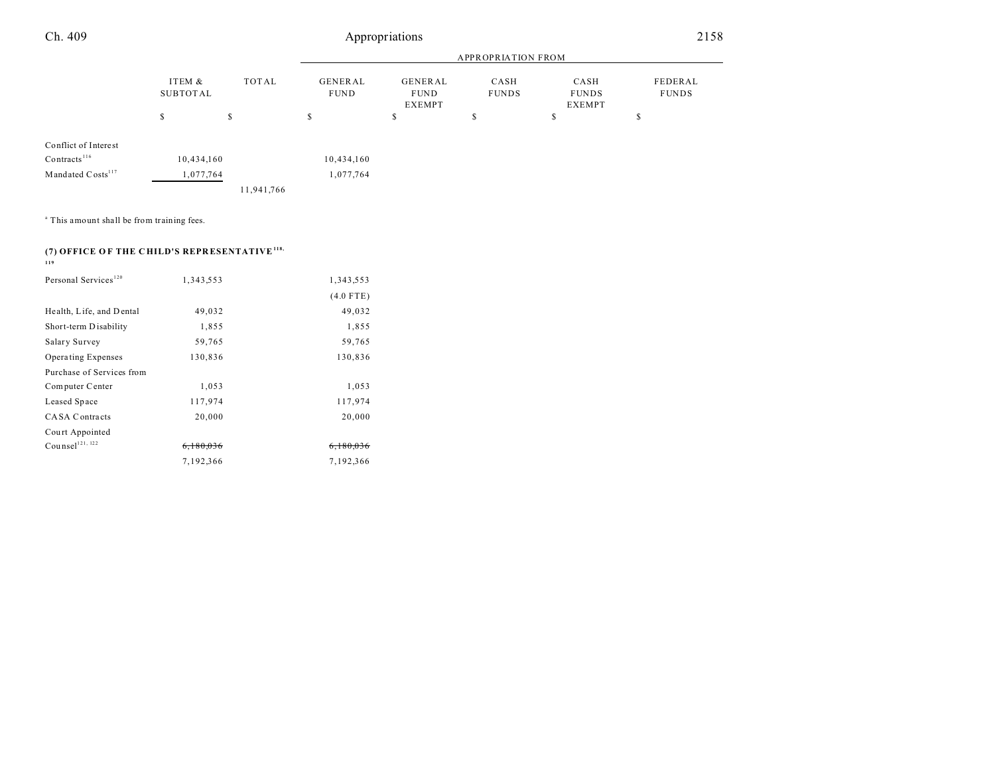|                               |                             |            | <b>APPROPRIATION FROM</b>                                         |    |                      |                                       |                         |
|-------------------------------|-----------------------------|------------|-------------------------------------------------------------------|----|----------------------|---------------------------------------|-------------------------|
|                               | ITEM &<br>TOTAL<br>SUBTOTAL |            | GENERAL<br>GENERAL<br><b>FUND</b><br><b>FUND</b><br><b>EXEMPT</b> |    | CASH<br><b>FUNDS</b> | CASH<br><b>FUNDS</b><br><b>EXEMPT</b> | FEDERAL<br><b>FUNDS</b> |
|                               | S                           | \$         | ъ                                                                 | \$ | э                    | S                                     | ъ                       |
| Conflict of Interest          |                             |            |                                                                   |    |                      |                                       |                         |
| $Contracts$ <sup>116</sup>    | 10,434,160                  |            | 10,434,160                                                        |    |                      |                                       |                         |
| Mandated Costs <sup>117</sup> | 1,077,764                   |            | 1,077,764                                                         |    |                      |                                       |                         |
|                               |                             | 11,941,766 |                                                                   |    |                      |                                       |                         |

<sup>a</sup> This amount shall be from training fees.

# **(7) OFFICE O F THE C HILD'S REPR ESENTATIVE118, 119**

| Personal Services <sup>120</sup> | 1,343,553            | 1,343,553            |
|----------------------------------|----------------------|----------------------|
|                                  |                      | $(4.0$ FTE)          |
| Health, Life, and Dental         | 49,032               | 49,032               |
| Short-term Disability            | 1,855                | 1,855                |
| Salary Survey                    | 59,765               | 59,765               |
| Operating Expenses               | 130,836              | 130,836              |
| Purchase of Services from        |                      |                      |
| Computer Center                  | 1,053                | 1,053                |
| Leased Space                     | 117,974              | 117,974              |
| <b>CASA Contracts</b>            | 20,000               | 20,000               |
| Court Appointed                  |                      |                      |
| Counsel <sup>121, 122</sup>      | <del>6.180.036</del> | <del>6.180.036</del> |
|                                  | 7,192,366            | 7,192,366            |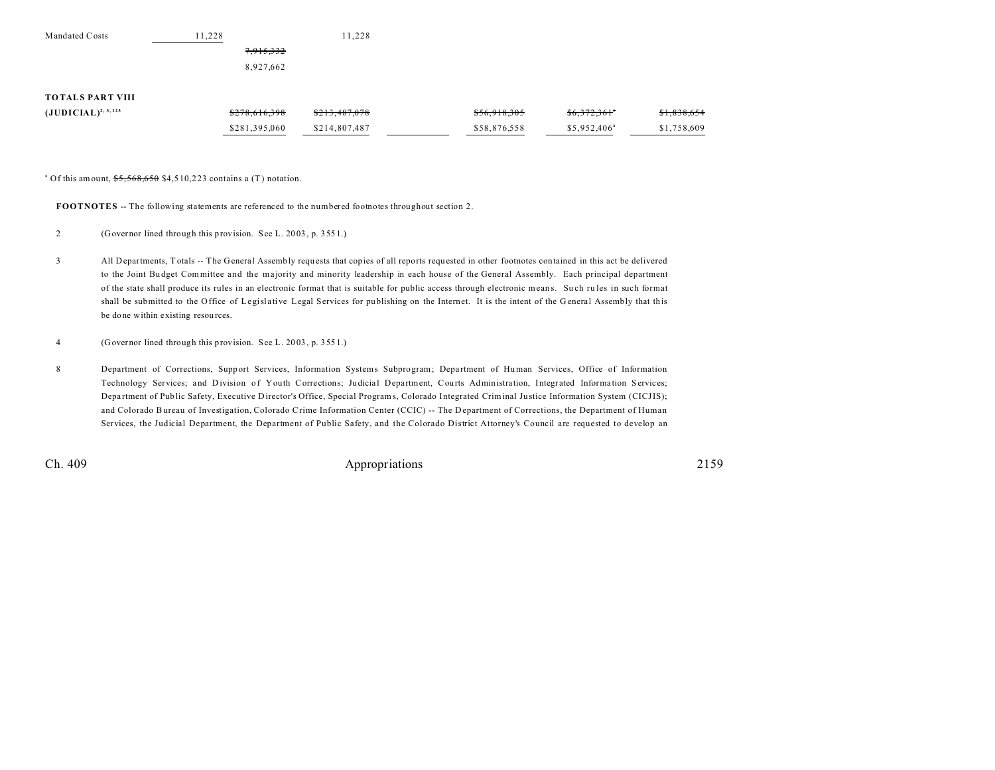| Mandated Costs           | 11.228        | 11.228        |              |                      |             |
|--------------------------|---------------|---------------|--------------|----------------------|-------------|
|                          | 7,915,332     |               |              |                      |             |
|                          | 8,927,662     |               |              |                      |             |
| <b>TOTALS PART VIII</b>  |               |               |              |                      |             |
| $(JUDICIAL)^{2, 3, 123}$ | \$278,616,398 | \$213,487,078 | \$56,918,305 | \$6,372,361"         | \$1,838,654 |
|                          | \$281,395,060 | \$214,807,487 | \$58,876,558 | $$5,952,406^{\circ}$ | \$1,758,609 |

<sup>a</sup> Of this amount,  $\frac{$5,568,650}{$4,510,223}$  contains a (T) notation.

**FOOTNOTES** -- The following statements are referenced to the numbered footnotes throughout section 2.

- 2 (Governor lined through this provision. See L. 20 03 , p. 355 1.)
- 3 All Departments, T otals -- The General Assembly requ ests that copies of all reports requested in other footnotes contained in this act be delivered to the Joint Bu dget Committee and the majority and minority leadership in each house of the General Assembly. Each principal department of the state shall produce its rules in an electronic forma t that is suitable for public access through electronic mean s. Su ch ru les in such format shall be submitted to the Office of Legislative Legal Services for pu blishing on the Internet. It is the intent of the G eneral Assembly that this be done within existing resou rces.
- 4 (Governor lined through this provision. See L. 20 03 , p. 355 1.)
- 8 Department of Corrections, Support Services, Information Systems Subprogram; Department of Human Services, Office of Information Technology Services; and Division of Youth Corrections; Judicial Department, Courts Administration, Integrated Information Services; Depa rtment of Public Safety, Executive Director's Office, Special Programs, Colorado Integrated Criminal Justice Information System (CICJIS); and Colorado Bureau of Investigation, Colorado Crime Information Center (CCIC) -- The Department of Corrections, the Department of Human Services, the Judicial Department, the Department of Public Safety, and the Colorado District Attorney's Council are requested to develop an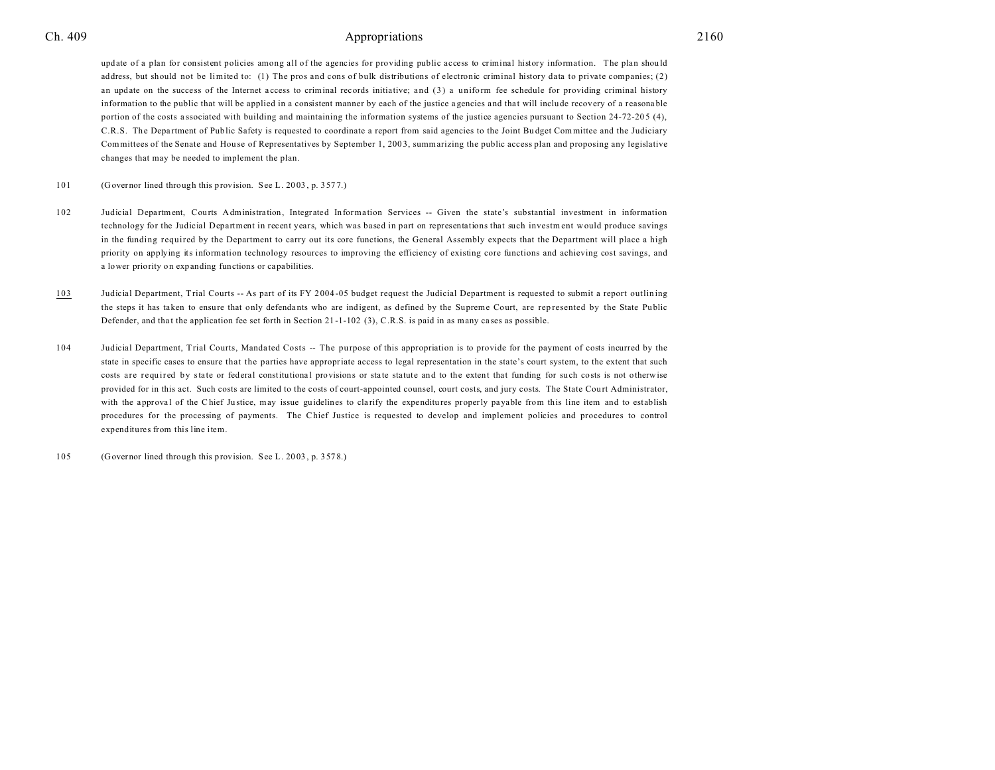update of a plan for consistent policies among all of the agencies for providing public access to criminal history information. The plan should address, but should not be limited to: (1) The pros and cons of bulk distributions of electronic criminal history data to private companies; (2) an update on the success of the Internet access to criminal records initiative; and (3) a uniform fee schedule for providing criminal history information to the public that will be applied in a consistent manner by each of the justice agencies and that will include recovery of a reasonable portion of the costs a ssociated with building and maintaining the information systems of the justice agencies pursuant to Section 24-72-205 (4), C.R.S. The Department of Public Safety is requested to coordinate a report from said agencies to the Joint Bu dget Committee and the Judiciary Committees of the Senate and Hou se of Representatives by September 1, 200 3, summarizing the public access plan and proposing any legislative changes that may be needed to implement the plan.

101 (Governor lined through this provision. See L. 20 03 , p. 357 7.)

- 102 Judicial Department, Courts Administration, Integrated Information Services -- Given the state's substantial investment in information technology for the Judicial Department in recent years, which was based in part on representations that such investm ent would produce savings in the funding required by the Department to carry out its core functions, the General Assembly expects that the Department will place a high priority on applying its information technology resources to improving the efficiency of existing core functions and achieving cost savings, and a lower priority on expanding functions or ca pabilities.
- 103 Judicial Department, Trial Courts -- As part of its FY 2 004 -05 budget request the Judicial Department is requested to submit a report outlin ing the steps it has taken to ensure that only defenda nts who are indigent, as defined by the Supreme Court, are rep resented by the State Public Defender, and that the application fee set forth in Section 21-1-102 (3), C.R.S. is paid in as many cases as possible.
- 104 Judicial Department, Trial Courts, Manda ted Costs -- The pu rpose of this appropriation is to provide for the payment of costs incurred by the state in specific cases to ensure that the parties have appropriate access to legal representation in the state's court system, to the extent that such costs are required by state or federal constitutional provisions or state statute and to the extent that funding for such costs is not otherwise provided for in this act. Such costs are limited to the costs of court-appointed counsel, court costs, and jury costs. The State Court Administrator, with the approval of the Chief Justice, may issue guidelines to clarify the expenditures properly payable from this line item and to establish procedures for the processing of payments. The Chief Justice is requested to develop and implement policies and procedures to control expenditures from this line item.

105 (Governor lined through this provision. See L. 20 03 , p. 357 8.)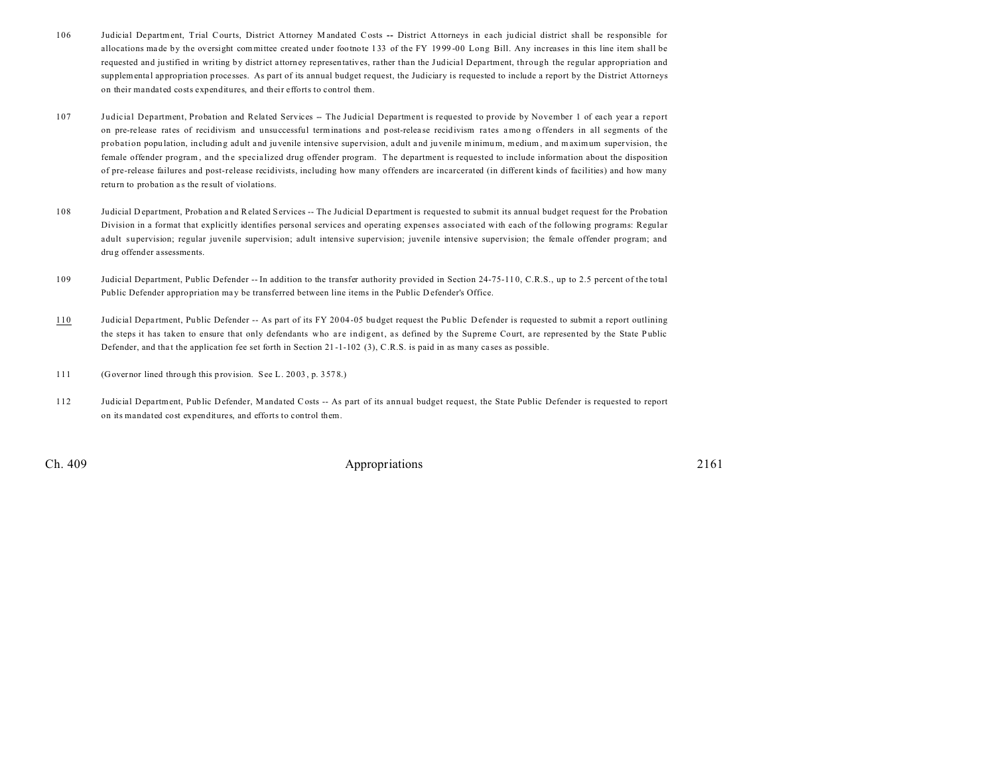- 106 Judicial Department, Trial Courts, District Attorney M andated Costs **--** District Attorneys in each ju dicial district shall be responsible for allocations ma de by the oversight committee created under footnote 133 of the FY 19 99 -00 Long Bill. Any increases in this line item shall be requested and justified in writing by district attorney representatives, rather than the J udicial Depa rtment, through the regular appropriation and supplemental appropriation processes. As part of its annual budget request, the Judiciary is requested to include a report by the District Attorneys on their mandated costs expenditures, and their efforts to control them.
- 107 Judicial Department, Probation and Related Services -- The Judicial Department is requested to provide by November 1 of each year a report on pre-release rates of recidivism and unsuccessful terminations and post-release recidivism rates among offenders in all segments of the probation popu lation, including adult and juvenile intensive supervision, adult a nd juvenile minimum, medium, and maximum supervision, the female offender program, and the specialized drug offender program. The department is requested to include information about the disposition of pre-release failures and post-release recidivists, including how many offenders are incarcerated (in different kinds of facilities) and how many return to probation as the result of violations.
- 108 Judicial D epartment, Probation and Related Services -- The Judicial D epartment is requested to submit its annual budget request for the Probation Division in a format that explicitly identifies personal services and operating expenses associated with each of the following programs: Regular adult supervision; regular juvenile supervision; adult intensive supervision; juvenile intensive supervision; the female offender program; and dru g offender assessments.
- 109 Judicial Department, Public Defender -- In addition to the transfer authority provided in Section 24-75-11 0, C.R.S., up to 2.5 percent of the total Public Defender appropriation ma y be transferred between line items in the Public D efender's Office.
- 110 Judicial Depa rtment, Public Defender -- As part of its FY 20 04 -05 bu dget request the Pu blic Defender is requested to submit a report outlining the steps it has taken to ensure that only defendants who are indigent, as defined by the Supreme Court, are represented by the State Public Defender, and that the application fee set forth in Section 21-1-102 (3), C.R.S. is paid in as many cases as possible.
- 111 (Governor lined through this provision. See L. 20 03 , p. 357 8.)
- 112 Judicial Department, Public Defender, Mandated Costs -- As part of its annual budget request, the State Public Defender is requested to report on its mandated cost expenditures, and efforts to control them.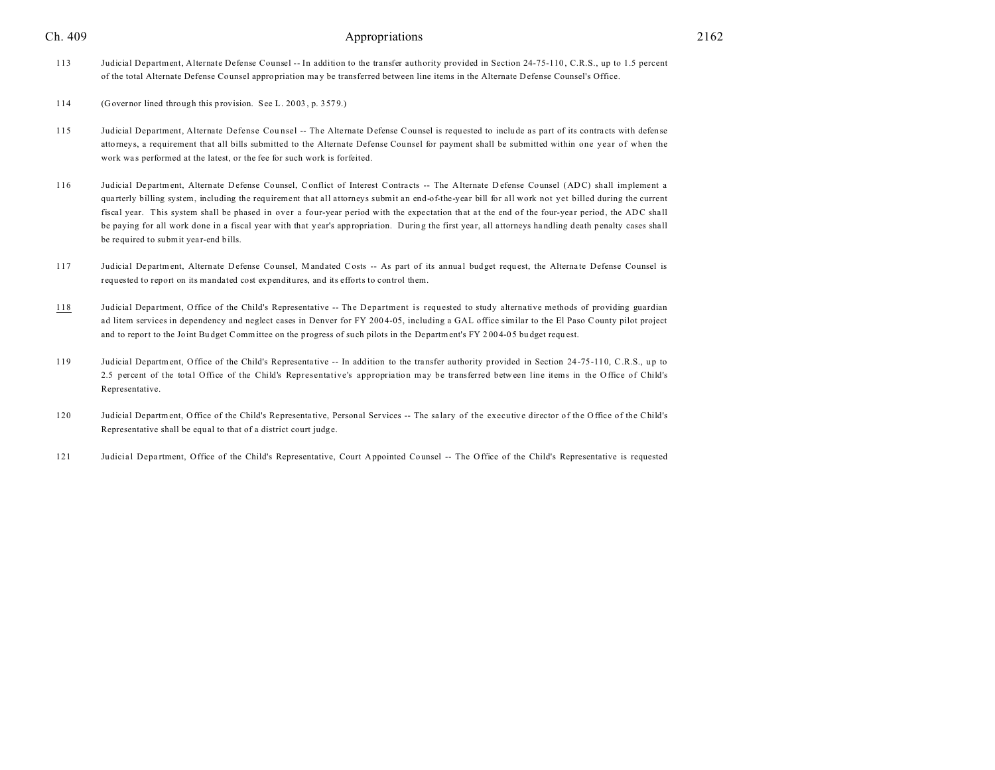113 Judicial Department, Alternate Defense Counsel -- In addition to the transfer authority provided in Section 24-75-110 , C.R.S., up to 1.5 percent of the total Alternate Defense Counsel appropriation ma y be transferred between line items in the Alternate Defense Counsel's Office.

114 (Governor lined through this provision. See L. 20 03 , p. 357 9.)

- 115 Judicial Department, Alternate Defense Counsel -- The Alternate Defense Counsel is requested to include as part of its contracts with defense attorneys, a requirement that all bills submitted to the Alternate Defense Cou nsel for payment shall be submitted within one year of when the work was performed at the latest, or the fee for such work is forfeited.
- 116 Judicial Department, Alternate Defense Counsel, Conflict of Interest Contracts -- The Alternate Defense Counsel (ADC) shall implement a qua rterly billing system, including the requirement that all attorneys submit an end-of-the-year bill for all work not yet billed during the current fiscal year. This system shall be phased in over a four-year period with the expectation that at the end of the four-year period, the ADC shall be paying for all work done in a fiscal year with that y ear's appropria tion. During the first year, all attorneys ha ndling death penalty cases shall be required to submit year-end bills.
- 117 Judicial Department, Alternate Defense Counsel, Mandated Costs -- As part of its annual budget request, the Alternate Defense Counsel is requested to report on its mandated cost expenditures, and its efforts to control them.
- 118 Judicial Department, Office of the Child's Representative -- The Department is requested to study alternative methods of providing guardian ad litem services in dependency and neglect cases in Denver for FY 200 4-05, including a GAL office similar to the El Paso County pilot project and to report to the Joint Bu dget Committee on the progress of such pilots in the Department's FY 2004-05 bu dget request.
- 119 Judicial Department, Office of the Child's Representative -- In addition to the transfer authority provided in Section 24-75-110, C.R.S., up to 2.5 percent of the total Office of the Child's Representative's appropriation may be transferred between line items in the Office of Child's Representative.
- 120 Judicial Department, Office of the Child's Representa tive, Personal Services -- The sa lary of the executive director of the Office of the Child's Representative shall be equ al to that of a district court judge.
- 121 Judicial Depa rtment, Office of the Child's Representative, Court Appointed Counsel -- The Office of the Child's Representative is requested